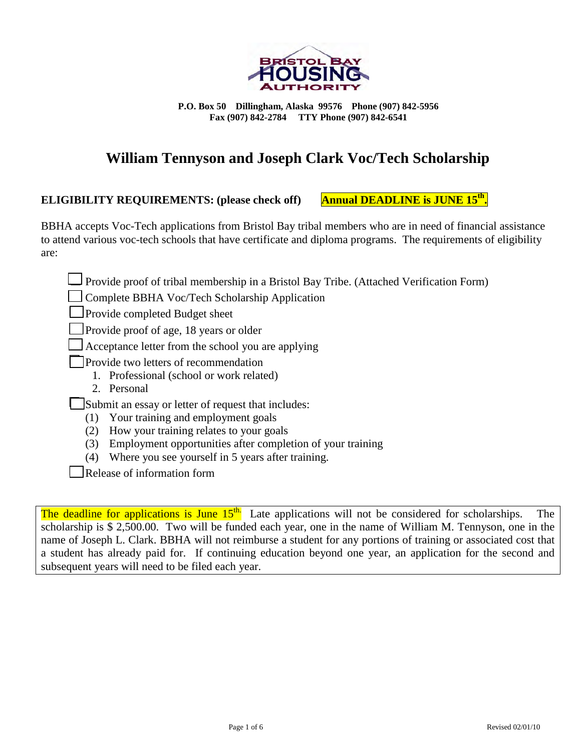

**P.O. Box 50 Dillingham, Alaska 99576 Phone (907) 842-5956 Fax (907) 842-2784 TTY Phone (907) 842-6541**

### **William Tennyson and Joseph Clark Voc/Tech Scholarship**

#### **ELIGIBILITY REQUIREMENTS: (please check off) Annual DEADLINE is JUNE 15th.**

BBHA accepts Voc-Tech applications from Bristol Bay tribal members who are in need of financial assistance to attend various voc-tech schools that have certificate and diploma programs. The requirements of eligibility are:

Provide proof of tribal membership in a Bristol Bay Tribe. (Attached Verification Form)

Complete BBHA Voc/Tech Scholarship Application

Provide completed Budget sheet

Provide proof of age, 18 years or older

Acceptance letter from the school you are applying

Provide two letters of recommendation

1. Professional (school or work related)

2. Personal

Submit an essay or letter of request that includes:

- (1) Your training and employment goals
- (2) How your training relates to your goals
- (3) Employment opportunities after completion of your training
- (4) Where you see yourself in 5 years after training.

Release of information form

The deadline for applications is June  $15<sup>th</sup>$ . Late applications will not be considered for scholarships. The scholarship is \$ 2,500.00. Two will be funded each year, one in the name of William M. Tennyson, one in the name of Joseph L. Clark. BBHA will not reimburse a student for any portions of training or associated cost that a student has already paid for. If continuing education beyond one year, an application for the second and subsequent years will need to be filed each year.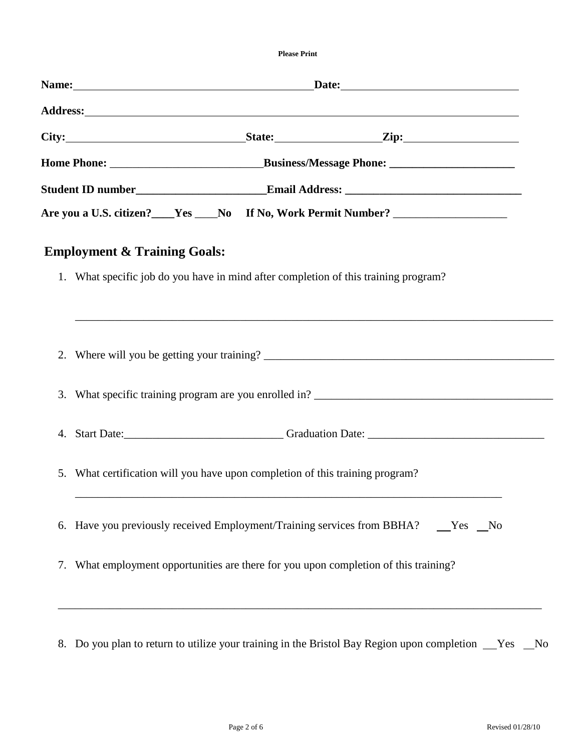**Please Print**

| Are you a U.S. citizen?____Yes ____No If No, Work Permit Number? ________________    |
|--------------------------------------------------------------------------------------|
|                                                                                      |
|                                                                                      |
|                                                                                      |
|                                                                                      |
|                                                                                      |
|                                                                                      |
|                                                                                      |
|                                                                                      |
|                                                                                      |
|                                                                                      |
|                                                                                      |
|                                                                                      |
|                                                                                      |
|                                                                                      |
|                                                                                      |
| 6. Have you previously received Employment/Training services from BBHA? ___ Yes __No |
|                                                                                      |
|                                                                                      |
|                                                                                      |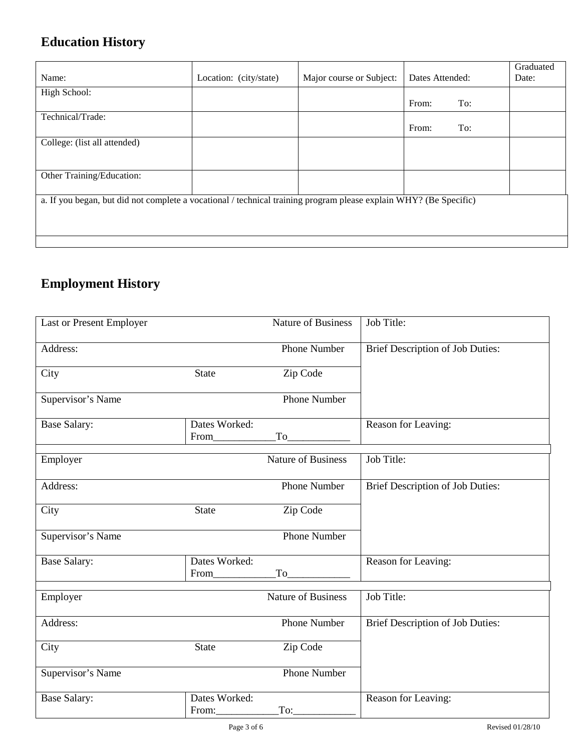# **Education History**

| Name:                                                                                                             | Location: (city/state) | Major course or Subject: | Dates Attended: | Graduated<br>Date: |
|-------------------------------------------------------------------------------------------------------------------|------------------------|--------------------------|-----------------|--------------------|
| High School:                                                                                                      |                        |                          | From:<br>To:    |                    |
|                                                                                                                   |                        |                          |                 |                    |
| Technical/Trade:                                                                                                  |                        |                          | From:<br>To:    |                    |
| College: (list all attended)                                                                                      |                        |                          |                 |                    |
|                                                                                                                   |                        |                          |                 |                    |
| Other Training/Education:                                                                                         |                        |                          |                 |                    |
| a. If you began, but did not complete a vocational / technical training program please explain WHY? (Be Specific) |                        |                          |                 |                    |

## **Employment History**

| Last or Present Employer |                        | <b>Nature of Business</b> | Job Title:                              |
|--------------------------|------------------------|---------------------------|-----------------------------------------|
| Address:                 |                        | <b>Phone Number</b>       | Brief Description of Job Duties:        |
| City                     | <b>State</b>           | Zip Code                  |                                         |
| Supervisor's Name        |                        | <b>Phone Number</b>       |                                         |
| <b>Base Salary:</b>      | Dates Worked:<br>From  | To                        | Reason for Leaving:                     |
| Employer                 |                        | <b>Nature of Business</b> | Job Title:                              |
| Address:                 |                        | <b>Phone Number</b>       | <b>Brief Description of Job Duties:</b> |
| City                     | <b>State</b>           | Zip Code                  |                                         |
| Supervisor's Name        |                        | <b>Phone Number</b>       |                                         |
| <b>Base Salary:</b>      | Dates Worked:<br>From  | To                        | Reason for Leaving:                     |
| Employer                 |                        | <b>Nature of Business</b> | Job Title:                              |
| Address:                 |                        | <b>Phone Number</b>       | <b>Brief Description of Job Duties:</b> |
| City                     | <b>State</b>           | Zip Code                  |                                         |
| Supervisor's Name        |                        | <b>Phone Number</b>       |                                         |
| <b>Base Salary:</b>      | Dates Worked:<br>From: | To:                       | Reason for Leaving:                     |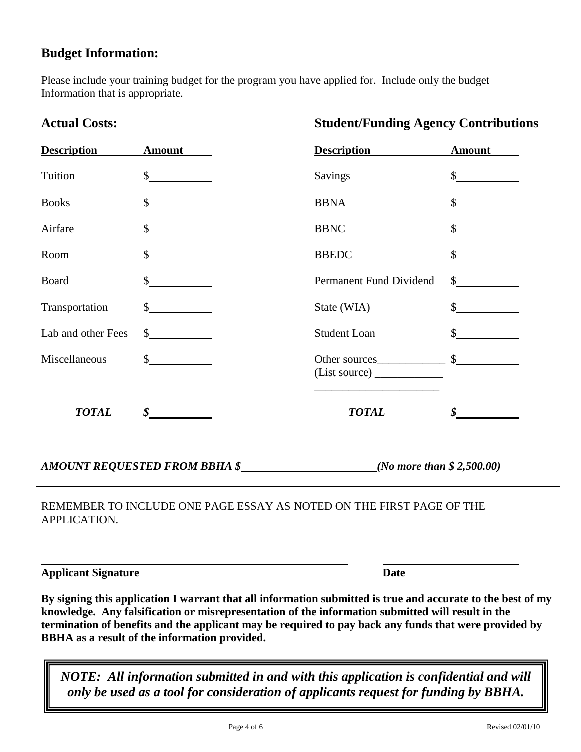### **Budget Information:**

Please include your training budget for the program you have applied for. Include only the budget Information that is appropriate.

| <b>Description</b> | <b>Amount</b>                 | <b>Description</b>                  | <b>Amount</b>               |
|--------------------|-------------------------------|-------------------------------------|-----------------------------|
| Tuition            | $\frac{\text{S}}{\text{S}}$   | <b>Savings</b>                      | $\frac{\text{S}}{\text{S}}$ |
| <b>Books</b>       | \$                            | <b>BBNA</b>                         | \$                          |
| Airfare            | $\mathbb{S}$                  | <b>BBNC</b>                         | $\frac{\text{S}}{\text{S}}$ |
| Room               | $\frac{\text{S}}{\text{S}}$   | <b>BBEDC</b>                        | $\frac{\text{S}}{\text{S}}$ |
| Board              | $\mathcal{S}$                 | Permanent Fund Dividend             | $\frac{\text{S}}{\text{S}}$ |
| Transportation     | $\frac{\text{S}}{\text{S}}$   | State (WIA)                         | $\frac{\text{S}}{\text{S}}$ |
| Lab and other Fees | $\sim$                        | <b>Student Loan</b>                 | $\mathbb{S}$                |
| Miscellaneous      | $\frac{\text{S}}{\text{S}}$   |                                     |                             |
| <b>TOTAL</b>       |                               | <b>TOTAL</b>                        | $\boldsymbol{s}$            |
|                    | AMOUNT REQUESTED FROM BBHA \$ | ( <i>No more than \$ 2,500.00</i> ) |                             |

#### REMEMBER TO INCLUDE ONE PAGE ESSAY AS NOTED ON THE FIRST PAGE OF THE APPLICATION.

**Applicant Signature Date** 

 $\overline{a}$ 

**By signing this application I warrant that all information submitted is true and accurate to the best of my knowledge. Any falsification or misrepresentation of the information submitted will result in the termination of benefits and the applicant may be required to pay back any funds that were provided by BBHA as a result of the information provided.** 

*NOTE: All information submitted in and with this application is confidential and will only be used as a tool for consideration of applicants request for funding by BBHA.* 

### **Actual Costs: Student/Funding Agency Contributions**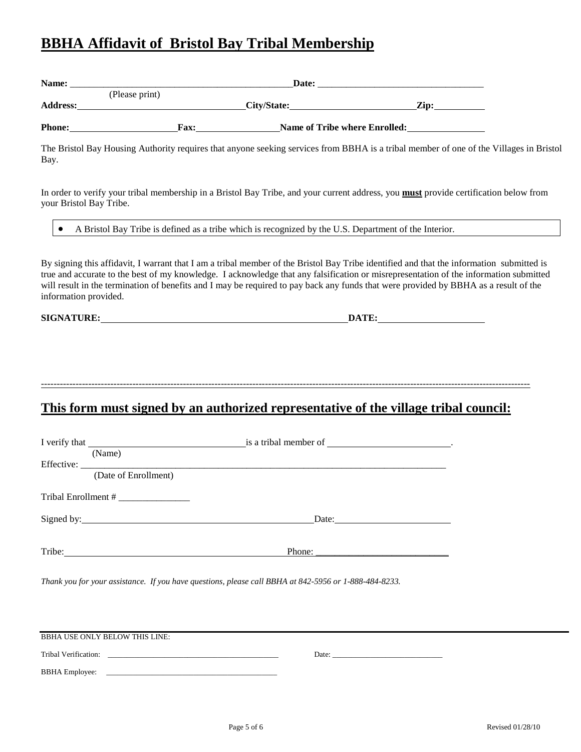### **BBHA Affidavit of Bristol Bay Tribal Membership**

| Name:           |                | Date:       |                                      |      |  |
|-----------------|----------------|-------------|--------------------------------------|------|--|
|                 | (Please print) |             |                                      |      |  |
| <b>Address:</b> |                |             | City/State:                          | Zip: |  |
| <b>Phone:</b>   |                | <b>Fax:</b> | <b>Name of Tribe where Enrolled:</b> |      |  |

The Bristol Bay Housing Authority requires that anyone seeking services from BBHA is a tribal member of one of the Villages in Bristol Bay.

In order to verify your tribal membership in a Bristol Bay Tribe, and your current address, you **must** provide certification below from your Bristol Bay Tribe.

• A Bristol Bay Tribe is defined as a tribe which is recognized by the U.S. Department of the Interior.

By signing this affidavit, I warrant that I am a tribal member of the Bristol Bay Tribe identified and that the information submitted is true and accurate to the best of my knowledge. I acknowledge that any falsification or misrepresentation of the information submitted will result in the termination of benefits and I may be required to pay back any funds that were provided by BBHA as a result of the information provided.

**SIGNATURE: DATE:**

-----------------------------------------------------------------------------------------------------------------------------------------------------------

**This form must signed by an authorized representative of the village tribal council:**

| (Name)<br>(Date of Enrollment)                                                                                                                                                                                                 | is a tribal member of ___________________________.       |
|--------------------------------------------------------------------------------------------------------------------------------------------------------------------------------------------------------------------------------|----------------------------------------------------------|
| Signed by: 1000 million and the state of the state of the state of the state of the state of the state of the state of the state of the state of the state of the state of the state of the state of the state of the state of | Date: $\frac{1}{\sqrt{1-\frac{1}{2}} \cdot \frac{1}{2}}$ |
| Tribe:                                                                                                                                                                                                                         | Phone:                                                   |

*Thank you for your assistance. If you have questions, please call BBHA at 842-5956 or 1-888-484-8233.*

| <b>BBHA USE ONLY BELOW THIS LINE:</b> |       |  |  |
|---------------------------------------|-------|--|--|
|                                       |       |  |  |
| Tribal Verification:                  | Date: |  |  |
| <b>BBHA</b> Employee:                 |       |  |  |